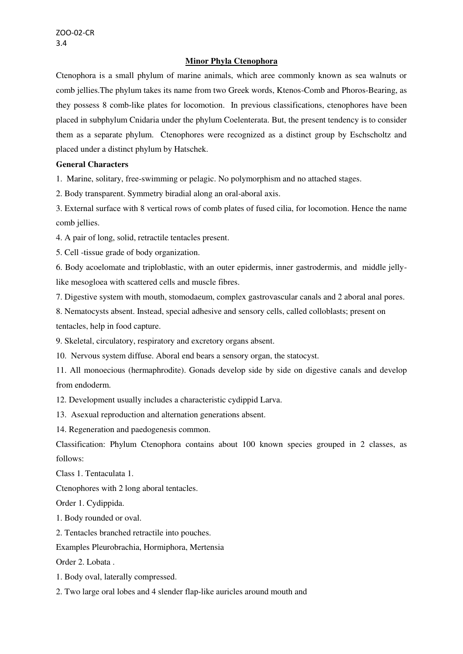### **Minor Phyla Ctenophora**

Ctenophora is a small phylum of marine animals, which aree commonly known as sea walnuts or comb jellies.The phylum takes its name from two Greek words, Ktenos-Comb and Phoros-Bearing, as they possess 8 comb-like plates for locomotion. In previous classifications, ctenophores have been placed in subphylum Cnidaria under the phylum Coelenterata. But, the present tendency is to consider them as a separate phylum. Ctenophores were recognized as a distinct group by Eschscholtz and placed under a distinct phylum by Hatschek.

# **General Characters**

1. Marine, solitary, free-swimming or pelagic. No polymorphism and no attached stages.

2. Body transparent. Symmetry biradial along an oral-aboral axis.

3. External surface with 8 vertical rows of comb plates of fused cilia, for locomotion. Hence the name comb jellies.

4. A pair of long, solid, retractile tentacles present.

5. Cell -tissue grade of body organization.

6. Body acoelomate and triploblastic, with an outer epidermis, inner gastrodermis, and middle jellylike mesogloea with scattered cells and muscle fibres.

7. Digestive system with mouth, stomodaeum, complex gastrovascular canals and 2 aboral anal pores.

8. Nematocysts absent. Instead, special adhesive and sensory cells, called colloblasts; present on

tentacles, help in food capture.

9. Skeletal, circulatory, respiratory and excretory organs absent.

10. Nervous system diffuse. Aboral end bears a sensory organ, the statocyst.

11. All monoecious (hermaphrodite). Gonads develop side by side on digestive canals and develop from endoderm.

12. Development usually includes a characteristic cydippid Larva.

13. Asexual reproduction and alternation generations absent.

14. Regeneration and paedogenesis common.

Classification: Phylum Ctenophora contains about 100 known species grouped in 2 classes, as follows:

Class 1. Tentaculata 1.

Ctenophores with 2 long aboral tentacles.

Order 1. Cydippida.

1. Body rounded or oval.

2. Tentacles branched retractile into pouches.

Examples Pleurobrachia, Hormiphora, Mertensia

Order 2. Lobata .

1. Body oval, laterally compressed.

2. Two large oral lobes and 4 slender flap-like auricles around mouth and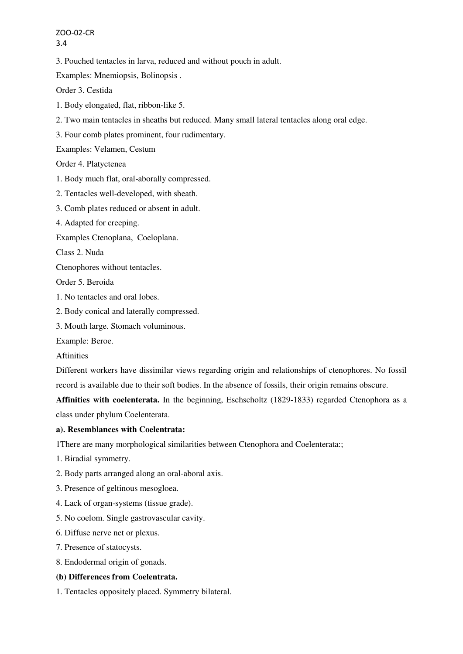ZOO-02-CR 3.4

3. Pouched tentacles in larva, reduced and without pouch in adult.

Examples: Mnemiopsis, Bolinopsis .

Order 3. Cestida

- 1. Body elongated, flat, ribbon-like 5.
- 2. Two main tentacles in sheaths but reduced. Many small lateral tentacles along oral edge.
- 3. Four comb plates prominent, four rudimentary.

Examples: Velamen, Cestum

Order 4. Platyctenea

- 1. Body much flat, oral-aborally compressed.
- 2. Tentacles well-developed, with sheath.
- 3. Comb plates reduced or absent in adult.
- 4. Adapted for creeping.

Examples Ctenoplana, Coeloplana.

Class 2. Nuda

Ctenophores without tentacles.

Order 5. Beroida

- 1. No tentacles and oral lobes.
- 2. Body conical and laterally compressed.
- 3. Mouth large. Stomach voluminous.

Example: Beroe.

Aftinities

Different workers have dissimilar views regarding origin and relationships of ctenophores. No fossil record is available due to their soft bodies. In the absence of fossils, their origin remains obscure.

**Affinities with coelenterata.** In the beginning, Eschscholtz (1829-1833) regarded Ctenophora as a class under phylum Coelenterata.

### **a). Resemblances with Coelentrata:**

1There are many morphological similarities between Ctenophora and Coelenterata:;

- 1. Biradial symmetry.
- 2. Body parts arranged along an oral-aboral axis.
- 3. Presence of geltinous mesogloea.
- 4. Lack of organ-systems (tissue grade).
- 5. No coelom. Single gastrovascular cavity.
- 6. Diffuse nerve net or plexus.
- 7. Presence of statocysts.
- 8. Endodermal origin of gonads.

### **(b) Differences from Coelentrata.**

1. Tentacles oppositely placed. Symmetry bilateral.